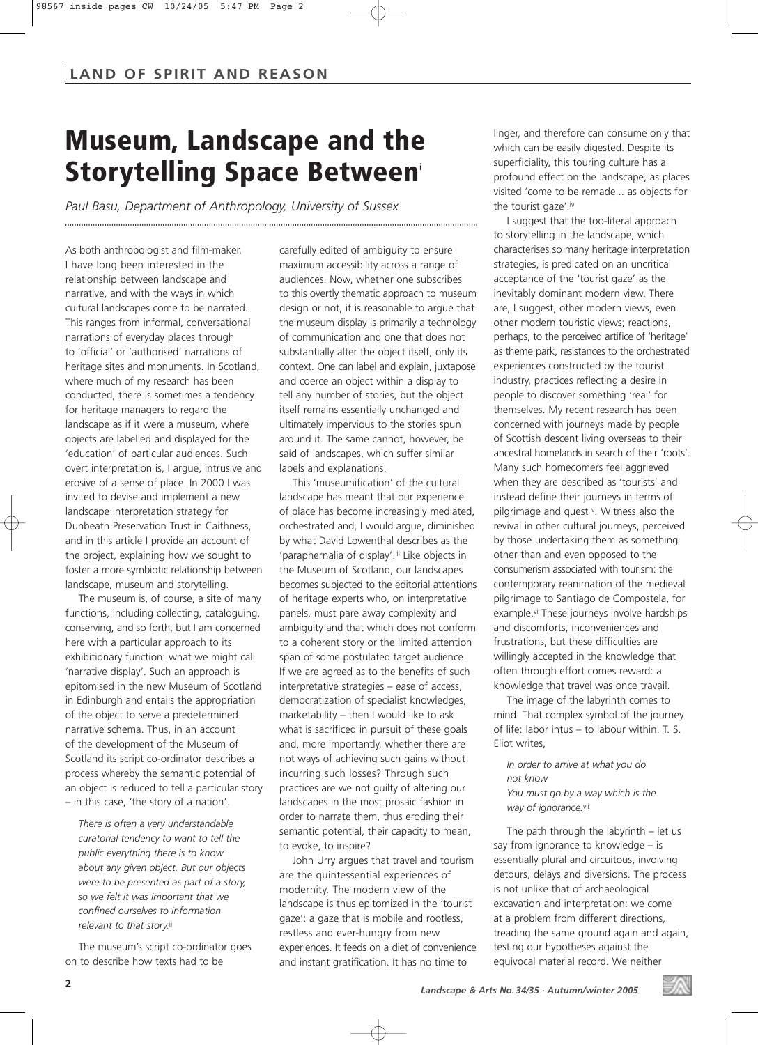## **Museum, Landscape and the Storytelling Space Between**<sup>i</sup>

*Paul Basu, Department of Anthropology, University of Sussex*

As both anthropologist and film-maker, I have long been interested in the relationship between landscape and narrative, and with the ways in which cultural landscapes come to be narrated. This ranges from informal, conversational narrations of everyday places through to 'official' or 'authorised' narrations of heritage sites and monuments. In Scotland, where much of my research has been conducted, there is sometimes a tendency for heritage managers to regard the landscape as if it were a museum, where objects are labelled and displayed for the 'education' of particular audiences. Such overt interpretation is, I argue, intrusive and erosive of a sense of place. In 2000 I was invited to devise and implement a new landscape interpretation strategy for Dunbeath Preservation Trust in Caithness, and in this article I provide an account of the project, explaining how we sought to foster a more symbiotic relationship between landscape, museum and storytelling.

The museum is, of course, a site of many functions, including collecting, cataloguing, conserving, and so forth, but I am concerned here with a particular approach to its exhibitionary function: what we might call 'narrative display'. Such an approach is epitomised in the new Museum of Scotland in Edinburgh and entails the appropriation of the object to serve a predetermined narrative schema. Thus, in an account of the development of the Museum of Scotland its script co-ordinator describes a process whereby the semantic potential of an object is reduced to tell a particular story – in this case, 'the story of a nation'.

*There is often a very understandable curatorial tendency to want to tell the public everything there is to know about any given object. But our objects were to be presented as part of a story, so we felt it was important that we confined ourselves to information relevant to that story.*ii

The museum's script co-ordinator goes on to describe how texts had to be

carefully edited of ambiguity to ensure maximum accessibility across a range of audiences. Now, whether one subscribes to this overtly thematic approach to museum design or not, it is reasonable to argue that the museum display is primarily a technology of communication and one that does not substantially alter the object itself, only its context. One can label and explain, juxtapose and coerce an object within a display to tell any number of stories, but the object itself remains essentially unchanged and ultimately impervious to the stories spun around it. The same cannot, however, be said of landscapes, which suffer similar labels and explanations.

This 'museumification' of the cultural landscape has meant that our experience of place has become increasingly mediated, orchestrated and, I would argue, diminished by what David Lowenthal describes as the 'paraphernalia of display'.iii Like objects in the Museum of Scotland, our landscapes becomes subjected to the editorial attentions of heritage experts who, on interpretative panels, must pare away complexity and ambiguity and that which does not conform to a coherent story or the limited attention span of some postulated target audience. If we are agreed as to the benefits of such interpretative strategies – ease of access, democratization of specialist knowledges, marketability – then I would like to ask what is sacrificed in pursuit of these goals and, more importantly, whether there are not ways of achieving such gains without incurring such losses? Through such practices are we not guilty of altering our landscapes in the most prosaic fashion in order to narrate them, thus eroding their semantic potential, their capacity to mean, to evoke, to inspire?

John Urry argues that travel and tourism are the quintessential experiences of modernity. The modern view of the landscape is thus epitomized in the 'tourist gaze': a gaze that is mobile and rootless, restless and ever-hungry from new experiences. It feeds on a diet of convenience and instant gratification. It has no time to

linger, and therefore can consume only that which can be easily digested. Despite its superficiality, this touring culture has a profound effect on the landscape, as places visited 'come to be remade... as objects for the tourist gaze'.iv

I suggest that the too-literal approach to storytelling in the landscape, which characterises so many heritage interpretation strategies, is predicated on an uncritical acceptance of the 'tourist gaze' as the inevitably dominant modern view. There are, I suggest, other modern views, even other modern touristic views; reactions, perhaps, to the perceived artifice of 'heritage' as theme park, resistances to the orchestrated experiences constructed by the tourist industry, practices reflecting a desire in people to discover something 'real' for themselves. My recent research has been concerned with journeys made by people of Scottish descent living overseas to their ancestral homelands in search of their 'roots'. Many such homecomers feel aggrieved when they are described as 'tourists' and instead define their journeys in terms of pilgrimage and quest v. Witness also the revival in other cultural journeys, perceived by those undertaking them as something other than and even opposed to the consumerism associated with tourism: the contemporary reanimation of the medieval pilgrimage to Santiago de Compostela, for example.<sup>vi</sup> These journeys involve hardships and discomforts, inconveniences and frustrations, but these difficulties are willingly accepted in the knowledge that often through effort comes reward: a knowledge that travel was once travail.

The image of the labyrinth comes to mind. That complex symbol of the journey of life: labor intus – to labour within. T. S. Eliot writes,

*In order to arrive at what you do not know You must go by a way which is the way of ignorance.*vii

The path through the labyrinth – let us say from ignorance to knowledge – is essentially plural and circuitous, involving detours, delays and diversions. The process is not unlike that of archaeological excavation and interpretation: we come at a problem from different directions, treading the same ground again and again, testing our hypotheses against the equivocal material record. We neither

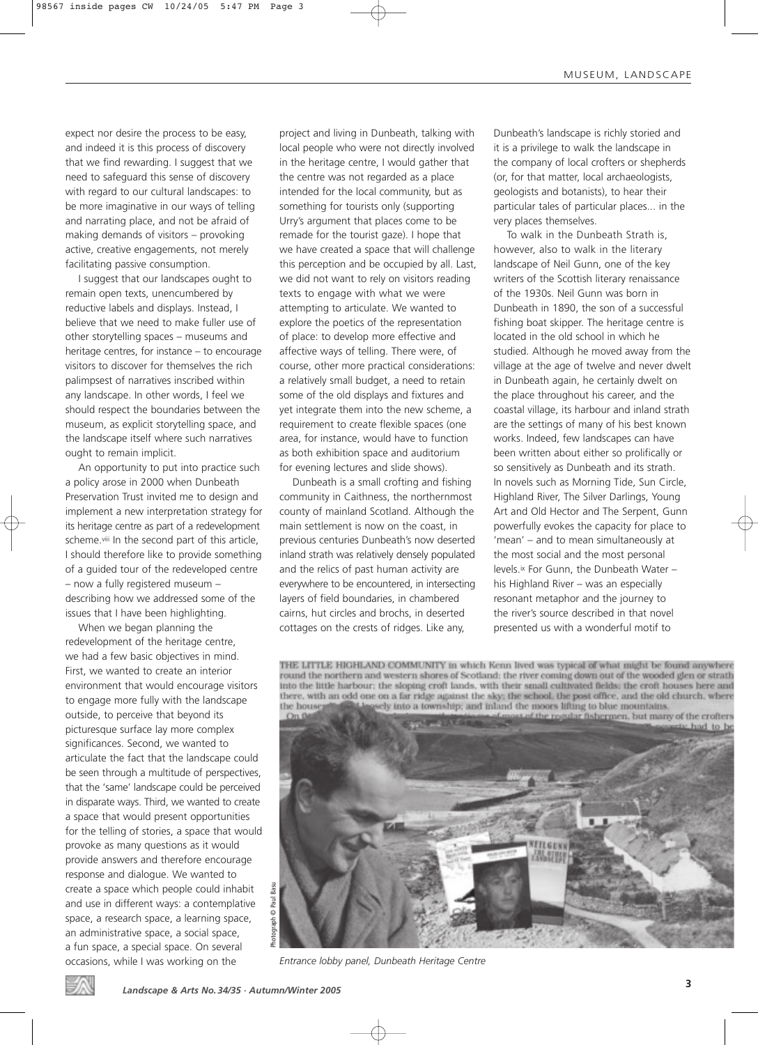expect nor desire the process to be easy, and indeed it is this process of discovery that we find rewarding. I suggest that we need to safeguard this sense of discovery with regard to our cultural landscapes: to be more imaginative in our ways of telling and narrating place, and not be afraid of making demands of visitors – provoking active, creative engagements, not merely facilitating passive consumption.

I suggest that our landscapes ought to remain open texts, unencumbered by reductive labels and displays. Instead, I believe that we need to make fuller use of other storytelling spaces – museums and heritage centres, for instance – to encourage visitors to discover for themselves the rich palimpsest of narratives inscribed within any landscape. In other words, I feel we should respect the boundaries between the museum, as explicit storytelling space, and the landscape itself where such narratives ought to remain implicit.

An opportunity to put into practice such a policy arose in 2000 when Dunbeath Preservation Trust invited me to design and implement a new interpretation strategy for its heritage centre as part of a redevelopment scheme.viii In the second part of this article, I should therefore like to provide something of a guided tour of the redeveloped centre – now a fully registered museum – describing how we addressed some of the issues that I have been highlighting.

When we began planning the redevelopment of the heritage centre, we had a few basic objectives in mind. First, we wanted to create an interior environment that would encourage visitors to engage more fully with the landscape outside, to perceive that beyond its picturesque surface lay more complex significances. Second, we wanted to articulate the fact that the landscape could be seen through a multitude of perspectives, that the 'same' landscape could be perceived in disparate ways. Third, we wanted to create a space that would present opportunities for the telling of stories, a space that would provoke as many questions as it would provide answers and therefore encourage response and dialogue. We wanted to create a space which people could inhabit and use in different ways: a contemplative space, a research space, a learning space, an administrative space, a social space, a fun space, a special space. On several occasions, while I was working on the

project and living in Dunbeath, talking with local people who were not directly involved in the heritage centre, I would gather that the centre was not regarded as a place intended for the local community, but as something for tourists only (supporting Urry's argument that places come to be remade for the tourist gaze). I hope that we have created a space that will challenge this perception and be occupied by all. Last, we did not want to rely on visitors reading texts to engage with what we were attempting to articulate. We wanted to explore the poetics of the representation of place: to develop more effective and affective ways of telling. There were, of course, other more practical considerations: a relatively small budget, a need to retain some of the old displays and fixtures and yet integrate them into the new scheme, a requirement to create flexible spaces (one area, for instance, would have to function as both exhibition space and auditorium for evening lectures and slide shows).

Dunbeath is a small crofting and fishing community in Caithness, the northernmost county of mainland Scotland. Although the main settlement is now on the coast, in previous centuries Dunbeath's now deserted inland strath was relatively densely populated and the relics of past human activity are everywhere to be encountered, in intersecting layers of field boundaries, in chambered cairns, hut circles and brochs, in deserted cottages on the crests of ridges. Like any,

Dunbeath's landscape is richly storied and it is a privilege to walk the landscape in the company of local crofters or shepherds (or, for that matter, local archaeologists, geologists and botanists), to hear their particular tales of particular places... in the very places themselves.

To walk in the Dunbeath Strath is, however, also to walk in the literary landscape of Neil Gunn, one of the key writers of the Scottish literary renaissance of the 1930s. Neil Gunn was born in Dunbeath in 1890, the son of a successful fishing boat skipper. The heritage centre is located in the old school in which he studied. Although he moved away from the village at the age of twelve and never dwelt in Dunbeath again, he certainly dwelt on the place throughout his career, and the coastal village, its harbour and inland strath are the settings of many of his best known works. Indeed, few landscapes can have been written about either so prolifically or so sensitively as Dunbeath and its strath. In novels such as Morning Tide, Sun Circle, Highland River, The Silver Darlings, Young Art and Old Hector and The Serpent, Gunn powerfully evokes the capacity for place to 'mean' – and to mean simultaneously at the most social and the most personal levels.ix For Gunn, the Dunbeath Water – his Highland River – was an especially resonant metaphor and the journey to the river's source described in that novel presented us with a wonderful motif to

THE LITTLE HIGHLAND COMMUNITY in which Kenn lived was typical of what might be found anywhere round the northern and western shores of Scotland: the river coming down out of the wooded glen or strath into the little harbour; the sloping croft lands, with their small cultivated fields; the croft houses here and there, with an odd one on a far ridge against the sky; the school, the post office, and the old church, where ely into a township; and inland the moors lifting to blue mountains. the house



*Entrance lobby panel, Dunbeath Heritage Centre* 

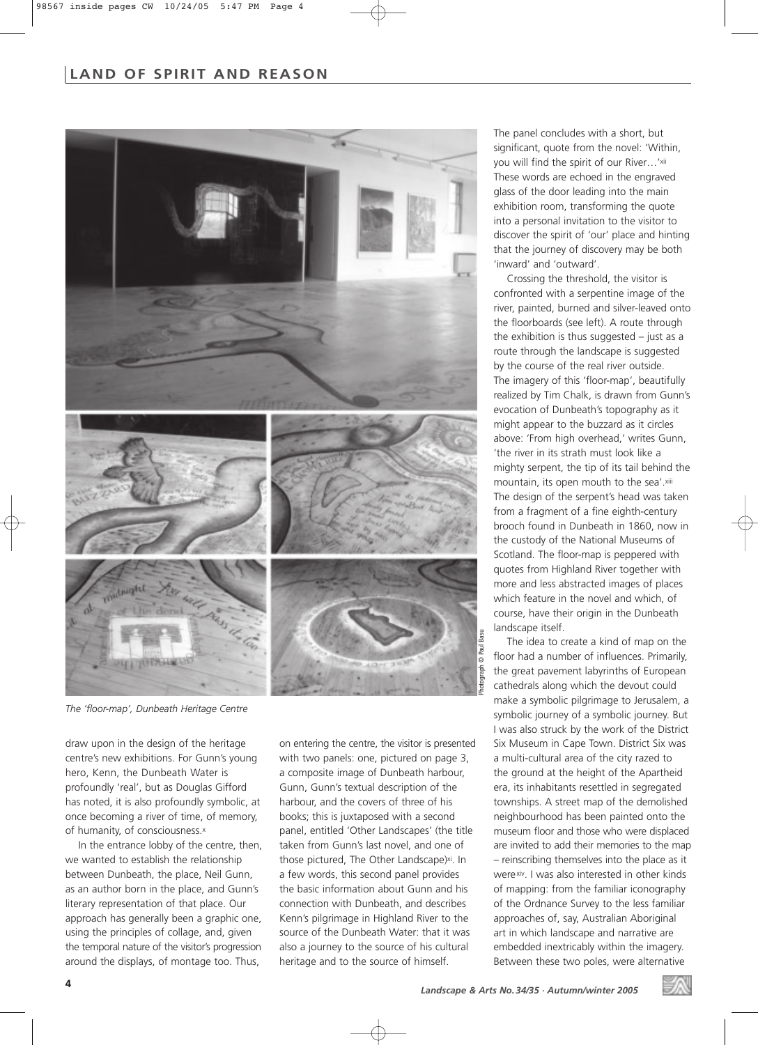## **LAND OF SPIRIT AND REASON**



*The 'floor-map', Dunbeath Heritage Centre*

draw upon in the design of the heritage centre's new exhibitions. For Gunn's young hero, Kenn, the Dunbeath Water is profoundly 'real', but as Douglas Gifford has noted, it is also profoundly symbolic, at once becoming a river of time, of memory, of humanity, of consciousness.x

In the entrance lobby of the centre, then, we wanted to establish the relationship between Dunbeath, the place, Neil Gunn, as an author born in the place, and Gunn's literary representation of that place. Our approach has generally been a graphic one, using the principles of collage, and, given the temporal nature of the visitor's progression around the displays, of montage too. Thus,

on entering the centre, the visitor is presented with two panels: one, pictured on page 3, a composite image of Dunbeath harbour, Gunn, Gunn's textual description of the harbour, and the covers of three of his books; this is juxtaposed with a second panel, entitled 'Other Landscapes' (the title taken from Gunn's last novel, and one of those pictured, The Other Landscape)<sup>xi</sup>. In a few words, this second panel provides the basic information about Gunn and his connection with Dunbeath, and describes Kenn's pilgrimage in Highland River to the source of the Dunbeath Water: that it was also a journey to the source of his cultural heritage and to the source of himself.

The panel concludes with a short, but significant, quote from the novel: 'Within, you will find the spirit of our River...'xii These words are echoed in the engraved glass of the door leading into the main exhibition room, transforming the quote into a personal invitation to the visitor to discover the spirit of 'our' place and hinting that the journey of discovery may be both 'inward' and 'outward'.

Crossing the threshold, the visitor is confronted with a serpentine image of the river, painted, burned and silver-leaved onto the floorboards (see left). A route through the exhibition is thus suggested  $-$  just as a route through the landscape is suggested by the course of the real river outside. The imagery of this 'floor-map', beautifully realized by Tim Chalk, is drawn from Gunn's evocation of Dunbeath's topography as it might appear to the buzzard as it circles above: 'From high overhead,' writes Gunn, 'the river in its strath must look like a mighty serpent, the tip of its tail behind the mountain, its open mouth to the sea'.xiii The design of the serpent's head was taken from a fragment of a fine eighth-century brooch found in Dunbeath in 1860, now in the custody of the National Museums of Scotland. The floor-map is peppered with quotes from Highland River together with more and less abstracted images of places which feature in the novel and which, of course, have their origin in the Dunbeath landscape itself.

The idea to create a kind of map on the floor had a number of influences. Primarily, the great pavement labyrinths of European cathedrals along which the devout could make a symbolic pilgrimage to Jerusalem, a symbolic journey of a symbolic journey. But I was also struck by the work of the District Six Museum in Cape Town. District Six was a multi-cultural area of the city razed to the ground at the height of the Apartheid era, its inhabitants resettled in segregated townships. A street map of the demolished neighbourhood has been painted onto the museum floor and those who were displaced are invited to add their memories to the map – reinscribing themselves into the place as it werexiv. I was also interested in other kinds of mapping: from the familiar iconography of the Ordnance Survey to the less familiar approaches of, say, Australian Aboriginal art in which landscape and narrative are embedded inextricably within the imagery. Between these two poles, were alternative

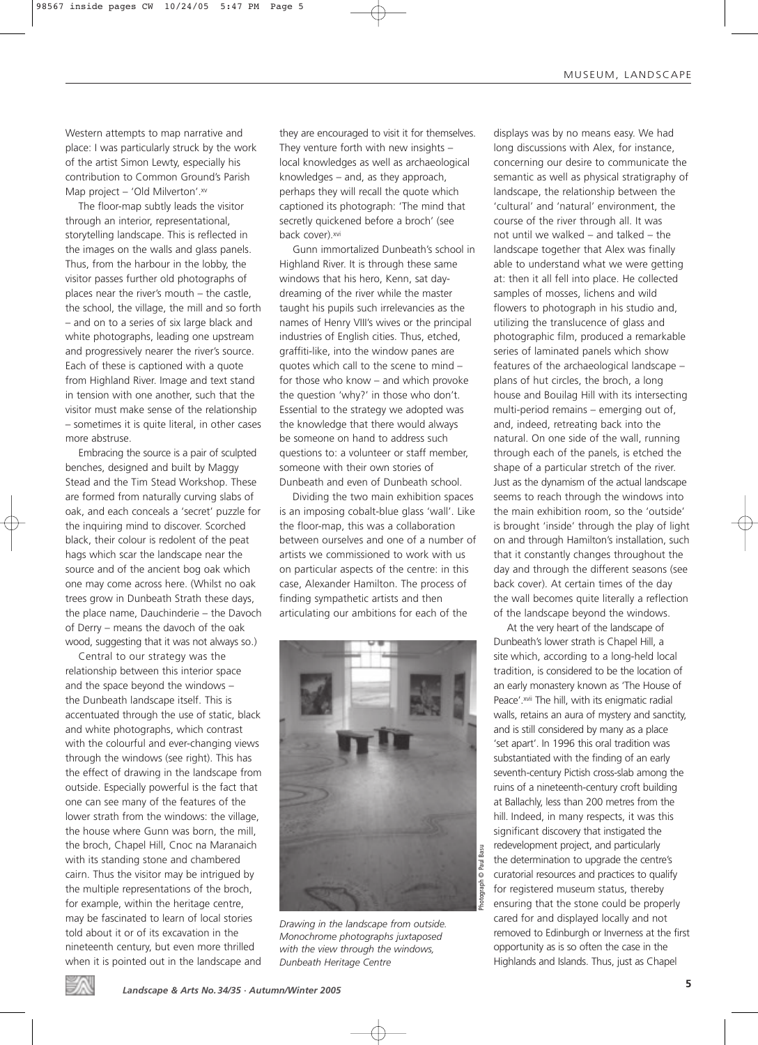Western attempts to map narrative and place: I was particularly struck by the work of the artist Simon Lewty, especially his contribution to Common Ground's Parish Map project – 'Old Milverton'.xv

The floor-map subtly leads the visitor through an interior, representational, storytelling landscape. This is reflected in the images on the walls and glass panels. Thus, from the harbour in the lobby, the visitor passes further old photographs of places near the river's mouth – the castle, the school, the village, the mill and so forth – and on to a series of six large black and white photographs, leading one upstream and progressively nearer the river's source. Each of these is captioned with a quote from Highland River. Image and text stand in tension with one another, such that the visitor must make sense of the relationship – sometimes it is quite literal, in other cases more abstruse.

Embracing the source is a pair of sculpted benches, designed and built by Maggy Stead and the Tim Stead Workshop. These are formed from naturally curving slabs of oak, and each conceals a 'secret' puzzle for the inquiring mind to discover. Scorched black, their colour is redolent of the peat hags which scar the landscape near the source and of the ancient bog oak which one may come across here. (Whilst no oak trees grow in Dunbeath Strath these days, the place name, Dauchinderie – the Davoch of Derry – means the davoch of the oak wood, suggesting that it was not always so.)

Central to our strategy was the relationship between this interior space and the space beyond the windows – the Dunbeath landscape itself. This is accentuated through the use of static, black and white photographs, which contrast with the colourful and ever-changing views through the windows (see right). This has the effect of drawing in the landscape from outside. Especially powerful is the fact that one can see many of the features of the lower strath from the windows: the village, the house where Gunn was born, the mill, the broch, Chapel Hill, Cnoc na Maranaich with its standing stone and chambered cairn. Thus the visitor may be intrigued by the multiple representations of the broch, for example, within the heritage centre, may be fascinated to learn of local stories told about it or of its excavation in the nineteenth century, but even more thrilled when it is pointed out in the landscape and

they are encouraged to visit it for themselves. They venture forth with new insights – local knowledges as well as archaeological knowledges – and, as they approach, perhaps they will recall the quote which captioned its photograph: 'The mind that secretly quickened before a broch' (see back cover).xvi

Gunn immortalized Dunbeath's school in Highland River. It is through these same windows that his hero, Kenn, sat daydreaming of the river while the master taught his pupils such irrelevancies as the names of Henry VIII's wives or the principal industries of English cities. Thus, etched, graffiti-like, into the window panes are quotes which call to the scene to mind – for those who know – and which provoke the question 'why?' in those who don't. Essential to the strategy we adopted was the knowledge that there would always be someone on hand to address such questions to: a volunteer or staff member, someone with their own stories of Dunbeath and even of Dunbeath school.

Dividing the two main exhibition spaces is an imposing cobalt-blue glass 'wall'. Like the floor-map, this was a collaboration between ourselves and one of a number of artists we commissioned to work with us on particular aspects of the centre: in this case, Alexander Hamilton. The process of finding sympathetic artists and then articulating our ambitions for each of the



*Drawing in the landscape from outside. Monochrome photographs juxtaposed with the view through the windows, Dunbeath Heritage Centre*

displays was by no means easy. We had long discussions with Alex, for instance, concerning our desire to communicate the semantic as well as physical stratigraphy of landscape, the relationship between the 'cultural' and 'natural' environment, the course of the river through all. It was not until we walked – and talked – the landscape together that Alex was finally able to understand what we were getting at: then it all fell into place. He collected samples of mosses, lichens and wild flowers to photograph in his studio and, utilizing the translucence of glass and photographic film, produced a remarkable series of laminated panels which show features of the archaeological landscape – plans of hut circles, the broch, a long house and Bouilag Hill with its intersecting multi-period remains – emerging out of, and, indeed, retreating back into the natural. On one side of the wall, running through each of the panels, is etched the shape of a particular stretch of the river. Just as the dynamism of the actual landscape seems to reach through the windows into the main exhibition room, so the 'outside' is brought 'inside' through the play of light on and through Hamilton's installation, such that it constantly changes throughout the day and through the different seasons (see back cover). At certain times of the day the wall becomes quite literally a reflection of the landscape beyond the windows.

At the very heart of the landscape of Dunbeath's lower strath is Chapel Hill, a site which, according to a long-held local tradition, is considered to be the location of an early monastery known as 'The House of Peace'.xvii The hill, with its enigmatic radial walls, retains an aura of mystery and sanctity, and is still considered by many as a place 'set apart'. In 1996 this oral tradition was substantiated with the finding of an early seventh-century Pictish cross-slab among the ruins of a nineteenth-century croft building at Ballachly, less than 200 metres from the hill. Indeed, in many respects, it was this significant discovery that instigated the redevelopment project, and particularly the determination to upgrade the centre's curatorial resources and practices to qualify for registered museum status, thereby ensuring that the stone could be properly cared for and displayed locally and not removed to Edinburgh or Inverness at the first opportunity as is so often the case in the Highlands and Islands. Thus, just as Chapel

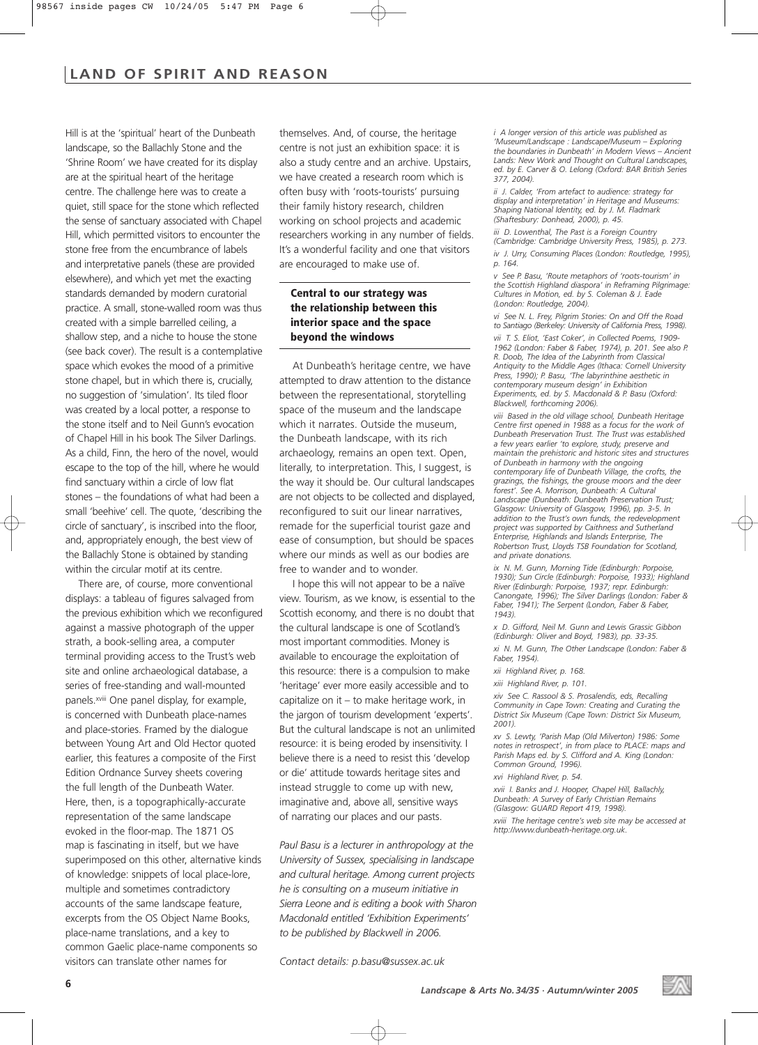## **LAND OF SPIRIT AND REASON**

Hill is at the 'spiritual' heart of the Dunbeath landscape, so the Ballachly Stone and the 'Shrine Room' we have created for its display are at the spiritual heart of the heritage centre. The challenge here was to create a quiet, still space for the stone which reflected the sense of sanctuary associated with Chapel Hill, which permitted visitors to encounter the stone free from the encumbrance of labels and interpretative panels (these are provided elsewhere), and which yet met the exacting standards demanded by modern curatorial practice. A small, stone-walled room was thus created with a simple barrelled ceiling, a shallow step, and a niche to house the stone (see back cover). The result is a contemplative space which evokes the mood of a primitive stone chapel, but in which there is, crucially, no suggestion of 'simulation'. Its tiled floor was created by a local potter, a response to the stone itself and to Neil Gunn's evocation of Chapel Hill in his book The Silver Darlings. As a child, Finn, the hero of the novel, would escape to the top of the hill, where he would find sanctuary within a circle of low flat stones – the foundations of what had been a small 'beehive' cell. The quote, 'describing the circle of sanctuary', is inscribed into the floor, and, appropriately enough, the best view of the Ballachly Stone is obtained by standing within the circular motif at its centre.

There are, of course, more conventional displays: a tableau of figures salvaged from the previous exhibition which we reconfigured against a massive photograph of the upper strath, a book-selling area, a computer terminal providing access to the Trust's web site and online archaeological database, a series of free-standing and wall-mounted panels.xviii One panel display, for example, is concerned with Dunbeath place-names and place-stories. Framed by the dialogue between Young Art and Old Hector quoted earlier, this features a composite of the First Edition Ordnance Survey sheets covering the full length of the Dunbeath Water. Here, then, is a topographically-accurate representation of the same landscape evoked in the floor-map. The 1871 OS map is fascinating in itself, but we have superimposed on this other, alternative kinds of knowledge: snippets of local place-lore, multiple and sometimes contradictory accounts of the same landscape feature, excerpts from the OS Object Name Books, place-name translations, and a key to common Gaelic place-name components so visitors can translate other names for

themselves. And, of course, the heritage centre is not just an exhibition space: it is also a study centre and an archive. Upstairs, we have created a research room which is often busy with 'roots-tourists' pursuing their family history research, children working on school projects and academic researchers working in any number of fields. It's a wonderful facility and one that visitors are encouraged to make use of.

## **Central to our strategy was the relationship between this interior space and the space beyond the windows**

At Dunbeath's heritage centre, we have attempted to draw attention to the distance between the representational, storytelling space of the museum and the landscape which it narrates. Outside the museum, the Dunbeath landscape, with its rich archaeology, remains an open text. Open, literally, to interpretation. This, I suggest, is the way it should be. Our cultural landscapes are not objects to be collected and displayed, reconfigured to suit our linear narratives, remade for the superficial tourist gaze and ease of consumption, but should be spaces where our minds as well as our bodies are free to wander and to wonder.

I hope this will not appear to be a naïve view. Tourism, as we know, is essential to the Scottish economy, and there is no doubt that the cultural landscape is one of Scotland's most important commodities. Money is available to encourage the exploitation of this resource: there is a compulsion to make 'heritage' ever more easily accessible and to capitalize on it – to make heritage work, in the jargon of tourism development 'experts'. But the cultural landscape is not an unlimited resource: it is being eroded by insensitivity. I believe there is a need to resist this 'develop or die' attitude towards heritage sites and instead struggle to come up with new, imaginative and, above all, sensitive ways of narrating our places and our pasts.

*Paul Basu is a lecturer in anthropology at the University of Sussex, specialising in landscape and cultural heritage. Among current projects he is consulting on a museum initiative in Sierra Leone and is editing a book with Sharon Macdonald entitled 'Exhibition Experiments' to be published by Blackwell in 2006.*

*Contact details: p.basu@sussex.ac.uk*

*i A longer version of this article was published as 'Museum/Landscape : Landscape/Museum – Exploring the boundaries in Dunbeath' in Modern Views – Ancient Lands: New Work and Thought on Cultural Landscapes, ed. by E. Carver & O. Lelong (Oxford: BAR British Series 377, 2004).*

*ii J. Calder, 'From artefact to audience: strategy for display and interpretation' in Heritage and Museums: Shaping National Identity, ed. by J. M. Fladmark (Shaftesbury: Donhead, 2000), p. 45.*

*iii* D. Lowenthal, The Past is a Foreign Country *(Cambridge: Cambridge University Press, 1985), p. 273.*

*iv J. Urry, Consuming Places (London: Routledge, 1995), p. 164.*

*v See P. Basu, 'Route metaphors of 'roots-tourism' in the Scottish Highland diaspora' in Reframing Pilgrimage: Cultures in Motion, ed. by S. Coleman & J. Eade (London: Routledge, 2004).*

*vi See N. L. Frey, Pilgrim Stories: On and Off the Road to Santiago (Berkeley: University of California Press, 1998). vii T. S. Eliot, 'East Coker', in Collected Poems, 1909- 1962 (London: Faber & Faber, 1974), p. 201. See also P. R. Doob, The Idea of the Labyrinth from Classical Antiquity to the Middle Ages (Ithaca: Cornell University Press, 1990); P. Basu, 'The labyrinthine aesthetic in contemporary museum design' in Exhibition Experiments, ed. by S. Macdonald & P. Basu (Oxford: Blackwell, forthcoming 2006).*

*viii Based in the old village school, Dunbeath Heritage Centre first opened in 1988 as a focus for the work of Dunbeath Preservation Trust. The Trust was established a few years earlier 'to explore, study, preserve and maintain the prehistoric and historic sites and structures of Dunbeath in harmony with the ongoing contemporary life of Dunbeath Village, the crofts, the grazings, the fishings, the grouse moors and the deer forest'. See A. Morrison, Dunbeath: A Cultural Landscape (Dunbeath: Dunbeath Preservation Trust; Glasgow: University of Glasgow, 1996), pp. 3-5. In addition to the Trust's own funds, the redevelopment project was supported by Caithness and Sutherland Enterprise, Highlands and Islands Enterprise, The Robertson Trust, Lloyds TSB Foundation for Scotland, and private donations.*

*ix N. M. Gunn, Morning Tide (Edinburgh: Porpoise, 1930); Sun Circle (Edinburgh: Porpoise, 1933); Highland River (Edinburgh: Porpoise, 1937; repr. Edinburgh: Canongate, 1996); The Silver Darlings (London: Faber & Faber, 1941); The Serpent (London, Faber & Faber, 1943).*

*x D. Gifford, Neil M. Gunn and Lewis Grassic Gibbon (Edinburgh: Oliver and Boyd, 1983), pp. 33-35. xi N. M. Gunn, The Other Landscape (London: Faber &*

*Faber, 1954).*

*xii Highland River, p. 168.*

*xiii Highland River, p. 101.*

*xiv See C. Rassool & S. Prosalendis, eds, Recalling Community in Cape Town: Creating and Curating the District Six Museum (Cape Town: District Six Museum, 2001).*

*xv S. Lewty, 'Parish Map (Old Milverton) 1986: Some notes in retrospect', in from place to PLACE: maps and Parish Maps ed. by S. Clifford and A. King (London: Common Ground, 1996).*

*xvi Highland River, p. 54.*

*xvii I. Banks and J. Hooper, Chapel Hill, Ballachly, Dunbeath: A Survey of Early Christian Remains (Glasgow: GUARD Report 419, 1998).*

*xviii The heritage centre's web site may be accessed at http://www.dunbeath-heritage.org.uk.*